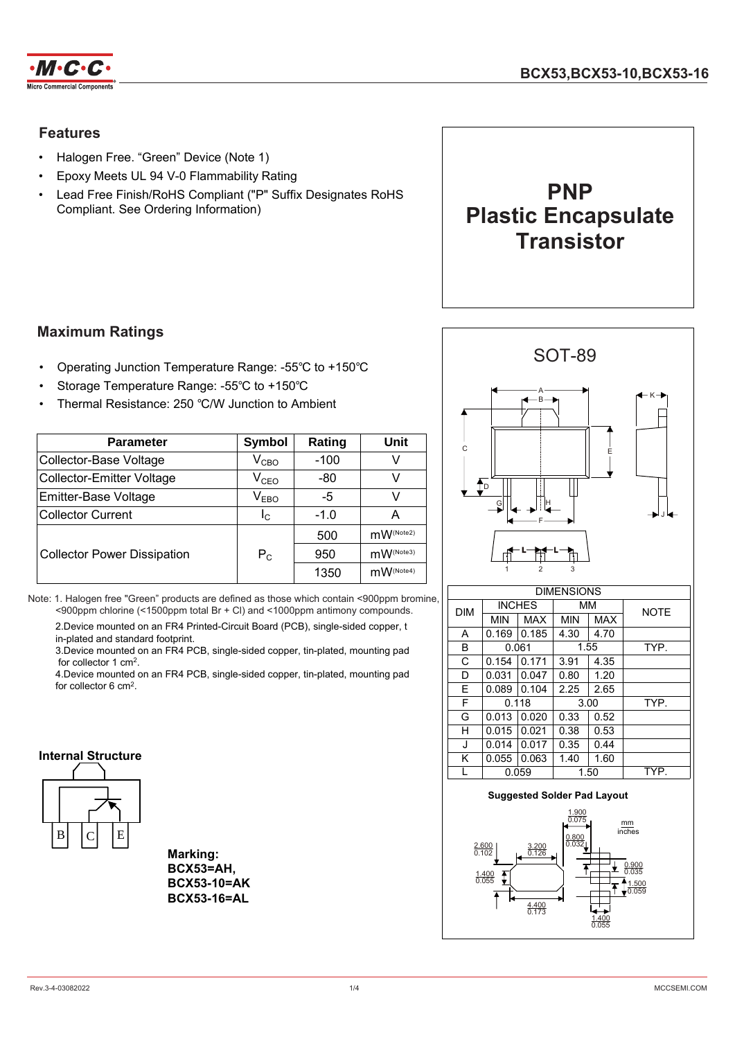

### **Features**

- Halogen Free. "Green" Device (Note 1)
- Epoxy Meets UL 94 V-0 Flammability Rating
- Lead Free Finish/RoHS Compliant ("P" Suffix Designates RoHS Compliant. See Ordering Information)



### **Maximum Ratings**

- Operating Junction Temperature Range: -55℃ to +150℃
- Storage Temperature Range: -55℃ to +150℃
- Thermal Resistance: 250 ℃/W Junction to Ambient

| <b>Parameter</b>                   | Symbol        | Rating | Unit      |
|------------------------------------|---------------|--------|-----------|
| Collector-Base Voltage             | $V_{CBO}$     | $-100$ | v         |
| <b>Collector-Emitter Voltage</b>   | $\rm V_{CEO}$ | -80    | v         |
| Emitter-Base Voltage               | $V_{EBO}$     | -5     | V         |
| Collector Current                  | Ιc            | $-1.0$ | А         |
|                                    |               | 500    | mW(Note2) |
| <b>Collector Power Dissipation</b> | $P_{C}$       | 950    | mW(Note3) |
|                                    |               | 1350   | mW(Note4) |

Note: 1. Halogen free "Green" products are defined as those which contain <900ppm bromine, <900ppm chlorine (<1500ppm total Br + Cl) and <1000ppm antimony compounds.

2.Device mounted on an FR4 Printed-Circuit Board (PCB), single-sided copper, t in-plated and standard footprint.

3.Device mounted on an FR4 PCB, single-sided copper, tin-plated, mounting pad for collector 1 cm<sup>2</sup> .

4.Device mounted on an FR4 PCB, single-sided copper, tin-plated, mounting pad for collector 6 cm<sup>2</sup> .

#### **Internal Structure**



**Marking: BCX53=AH, BCX53-10=AK BCX53-16=AL**



| <b>DIM</b> |            | INCHES     | мм   |            | <b>NOTE</b> |
|------------|------------|------------|------|------------|-------------|
|            | <b>MIN</b> | <b>MAX</b> | MIN  | <b>MAX</b> |             |
| A          | 0.169      | 0.185      | 4.30 | 4.70       |             |
| B          |            | 0.061      |      | 1.55       | TYP.        |
| C          | 0.154      | 0.171      | 3.91 | 4.35       |             |
| D          | 0.031      | 0.047      | 0.80 | 1.20       |             |
| E          | 0.089      | 0.104      | 2.25 | 2.65       |             |
| F          |            | 0.118      |      | 3.00       | TYP.        |
| G          | 0.013      | 0.020      | 0.33 | 0.52       |             |
| Н          | 0.015      | 0.021      | 0.38 | 0.53       |             |
| J          | 0.014      | 0.017      | 0.35 | 0.44       |             |
| Κ          | 0.055      | 0.063      | 1.40 | 1.60       |             |
|            | 0.059      |            | 1.50 |            | TYP.        |

#### **Suggested Solder Pad Layout**

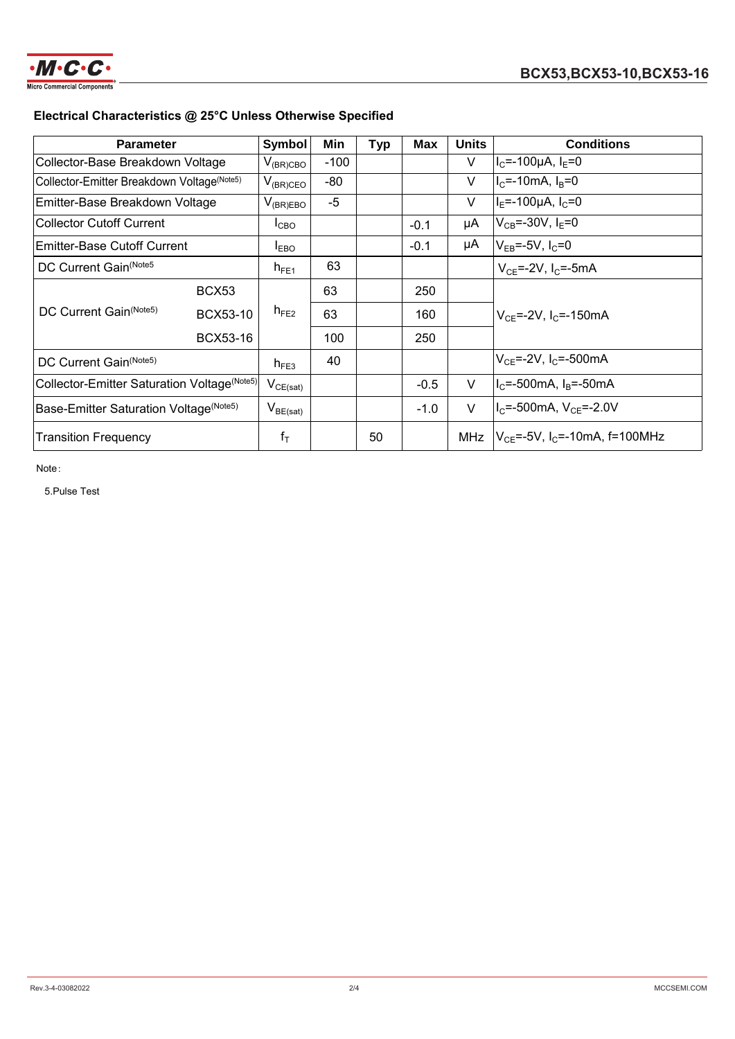

## **Electrical Characteristics @ 25°C Unless Otherwise Specified**

| <b>Parameter</b>                             |                 | <b>Symbol</b>                            | Min    | <b>Typ</b> | Max    | <b>Units</b> | <b>Conditions</b>                                   |
|----------------------------------------------|-----------------|------------------------------------------|--------|------------|--------|--------------|-----------------------------------------------------|
| Collector-Base Breakdown Voltage             |                 | $V_{(BR)CBO}$                            | $-100$ |            |        | V            | $ I_C$ =-100µA, $I_E$ =0                            |
| Collector-Emitter Breakdown Voltage(Note5)   |                 | $V_{(BR)CEO}$                            | $-80$  |            |        | V            | $IC=-10mA, IB=0$                                    |
| Emitter-Base Breakdown Voltage               |                 | $V_{(BR)EBO}$                            | $-5$   |            |        | V            | $ I_F = -100 \mu A, I_C = 0$                        |
| <b>Collector Cutoff Current</b>              |                 | $I_{CBO}$                                |        |            | $-0.1$ | μA           | $ V_{CR}$ =-30V, I <sub>F</sub> =0                  |
| <b>Emitter-Base Cutoff Current</b>           |                 | $I_{EBO}$                                |        |            | $-0.1$ | μA           | $ V_{FB}$ =-5V, I <sub>C</sub> =0                   |
| DC Current Gain(Note5                        |                 | $h_{FE1}$                                | 63     |            |        |              | $V_{CF} = -2V$ , I <sub>C</sub> = -5mA              |
| DC Current Gain(Note5)                       | BCX53           |                                          | 63     |            | 250    |              |                                                     |
|                                              | BCX53-10        | $h_{FE2}$                                | 63     |            | 160    |              | $ V_{CF}$ =-2V, I <sub>C</sub> =-150mA              |
|                                              | <b>BCX53-16</b> |                                          | 100    |            | 250    |              |                                                     |
| DC Current Gain(Note5)                       |                 | $h_{FE3}$                                | 40     |            |        |              | $ V_{CF}$ =-2V, I <sub>C</sub> =-500mA              |
| Collector-Emitter Saturation Voltage (Note5) |                 | $V_{CE(sat)}$                            |        |            | $-0.5$ | $\vee$       | $ I_C = -500$ mA, $I_B = -50$ mA                    |
| Base-Emitter Saturation Voltage (Note5)      |                 | $\mathsf{V}_{\mathsf{BE}(\mathsf{sat})}$ |        |            | $-1.0$ | $\vee$       | $ I_C = -500$ mA, $V_{CE} = -2.0V$                  |
| <b>Transition Frequency</b>                  |                 | $f_T$                                    |        | 50         |        |              | MHz $ V_{CF}$ =-5V, I <sub>C</sub> =-10mA, f=100MHz |

Note:

5.Pulse Test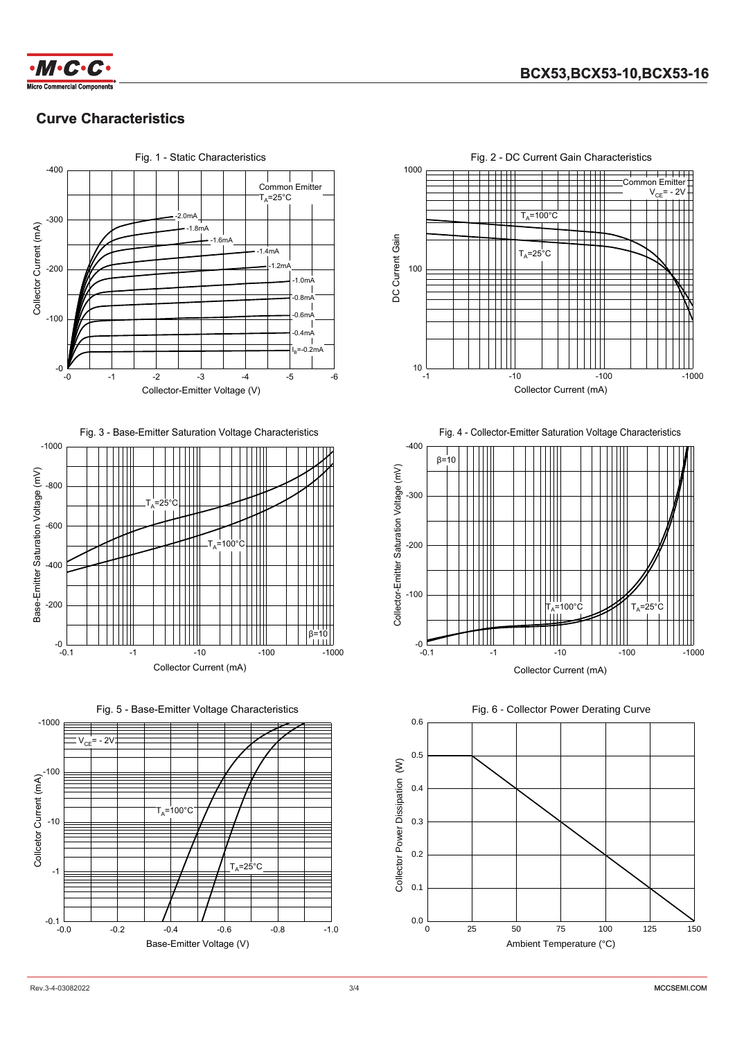

## **Curve Characteristics**